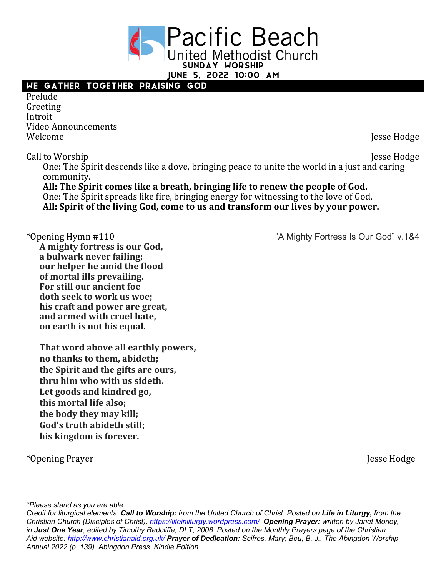**Pacific Beach United Methodist Church** Sunday Worship

June 5, 2022 10:00 AM

## We Gather Together Praising God

Prelude Greeting Introit Video Announcements Welcome Jesse Hodge

Call to Worship Jesse Hodge One: The Spirit descends like a dove, bringing peace to unite the world in a just and caring community.

All: The Spirit comes like a breath, bringing life to renew the people of God. One: The Spirit spreads like fire, bringing energy for witnessing to the love of God. All: Spirit of the living God, come to us and transform our lives by your power.

**A mighty fortress is our God, a bulwark never failing; our helper he amid the flood of mortal ills prevailing. For still our ancient foe** doth seek to work us woe: his craft and power are great, **and armed with cruel hate, on earth is not his equal.** 

**That word above all earthly powers, no thanks to them, abideth; the Spirit and the gifts are ours,** thru him who with us sideth. Let goods and kindred go, this mortal life also; the body they may kill; God's truth abideth still: his kingdom is forever.

\*Opening Prayer Jesse Hodge

\*Opening Hymn #110 "A Mighty Fortress Is Our God" v.1&4

*\*Please stand as you are able*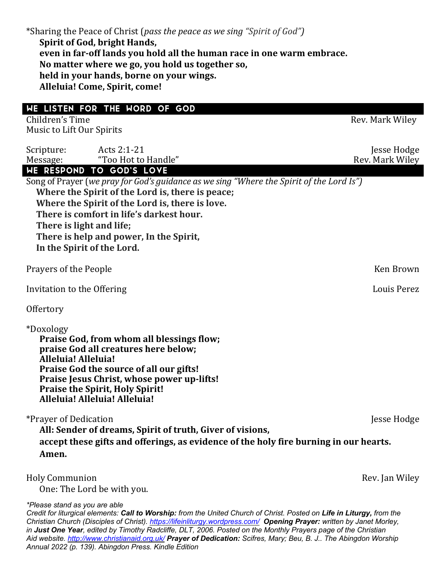|                                                                                                                                                                                                     | *Sharing the Peace of Christ (pass the peace as we sing "Spirit of God")<br>Spirit of God, bright Hands,<br>even in far-off lands you hold all the human race in one warm embrace.<br>No matter where we go, you hold us together so,<br>held in your hands, borne on your wings.<br>Alleluia! Come, Spirit, come!                                                           |                                |
|-----------------------------------------------------------------------------------------------------------------------------------------------------------------------------------------------------|------------------------------------------------------------------------------------------------------------------------------------------------------------------------------------------------------------------------------------------------------------------------------------------------------------------------------------------------------------------------------|--------------------------------|
| WE LISTEN FOR THE WORD OF GOD<br>Children's Time                                                                                                                                                    |                                                                                                                                                                                                                                                                                                                                                                              | Rev. Mark Wiley                |
| Music to Lift Our Spirits                                                                                                                                                                           |                                                                                                                                                                                                                                                                                                                                                                              |                                |
| Scripture:<br>Message:                                                                                                                                                                              | Acts 2:1-21<br>"Too Hot to Handle"                                                                                                                                                                                                                                                                                                                                           | Jesse Hodge<br>Rev. Mark Wiley |
|                                                                                                                                                                                                     | WE RESPOND TO GOD'S LOVE<br>Song of Prayer (we pray for God's guidance as we sing "Where the Spirit of the Lord Is")<br>Where the Spirit of the Lord is, there is peace;<br>Where the Spirit of the Lord is, there is love.<br>There is comfort in life's darkest hour.<br>There is light and life;<br>There is help and power, In the Spirit,<br>In the Spirit of the Lord. |                                |
| Prayers of the People                                                                                                                                                                               |                                                                                                                                                                                                                                                                                                                                                                              | Ken Brown                      |
| Invitation to the Offering                                                                                                                                                                          |                                                                                                                                                                                                                                                                                                                                                                              | Louis Perez                    |
| Offertory                                                                                                                                                                                           |                                                                                                                                                                                                                                                                                                                                                                              |                                |
| *Doxology<br>Alleluia! Alleluia!                                                                                                                                                                    | Praise God, from whom all blessings flow;<br>praise God all creatures here below;<br>Praise God the source of all our gifts!<br>Praise Jesus Christ, whose power up-lifts!<br><b>Praise the Spirit, Holy Spirit!</b><br>Alleluia! Alleluia! Alleluia!                                                                                                                        |                                |
| *Prayer of Dedication<br>Jesse Hodge<br>All: Sender of dreams, Spirit of truth, Giver of visions,<br>accept these gifts and offerings, as evidence of the holy fire burning in our hearts.<br>Amen. |                                                                                                                                                                                                                                                                                                                                                                              |                                |
| <b>Holy Communion</b>                                                                                                                                                                               | One: The Lord be with you.                                                                                                                                                                                                                                                                                                                                                   | Rev. Jan Wiley                 |

*\*Please stand as you are able*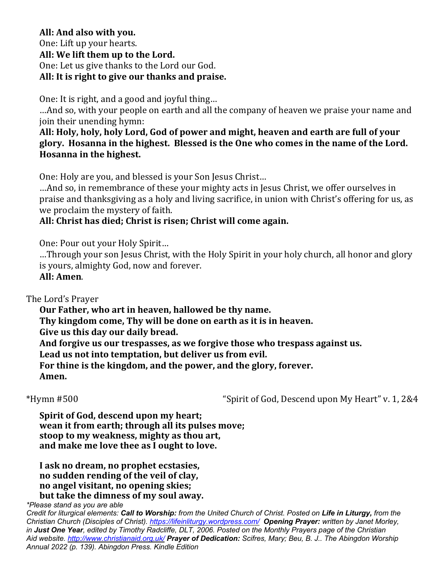## All: And also with you. One: Lift up your hearts. All: We lift them up to the Lord. One: Let us give thanks to the Lord our God. All: It is right to give our thanks and praise.

One: It is right, and a good and joyful thing...

...And so, with your people on earth and all the company of heaven we praise your name and join their unending hymn:

All: Holy, holy, holy Lord, God of power and might, heaven and earth are full of your glory. Hosanna in the highest. Blessed is the One who comes in the name of the Lord. **Hosanna in the highest.** 

One: Holy are you, and blessed is your Son Jesus Christ...

...And so, in remembrance of these your mighty acts in Jesus Christ, we offer ourselves in praise and thanksgiving as a holy and living sacrifice, in union with Christ's offering for us, as we proclaim the mystery of faith.

## All: Christ has died; Christ is risen; Christ will come again.

One: Pour out your Holy Spirit...

...Through your son Jesus Christ, with the Holy Spirit in your holy church, all honor and glory is yours, almighty God, now and forever.

**All: Amen**.

The Lord's Prayer

Our Father, who art in heaven, hallowed be thy name. Thy kingdom come, Thy will be done on earth as it is in heaven. Give us this day our daily bread. And forgive us our trespasses, as we forgive those who trespass against us. Lead us not into temptation, but deliver us from evil. For thine is the kingdom, and the power, and the glory, forever. **Amen.**

\*Hymn #500 "Spirit of God, Descend upon My Heart" v. 1, 2&4

**Spirit of God, descend upon my heart; wean it from earth; through all its pulses move; stoop to my weakness, mighty as thou art,** and make me love thee as I ought to love.

I ask no dream, no prophet ecstasies, **no** sudden rending of the veil of clay, **no angel visitant, no opening skies;** but take the dimness of my soul away.

*\*Please stand as you are able*